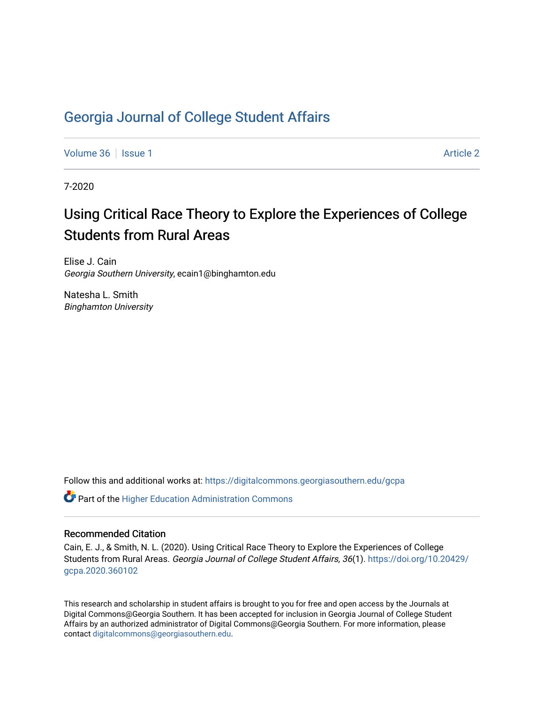### [Georgia Journal of College Student Affairs](https://digitalcommons.georgiasouthern.edu/gcpa)

[Volume 36](https://digitalcommons.georgiasouthern.edu/gcpa/vol36) | [Issue 1](https://digitalcommons.georgiasouthern.edu/gcpa/vol36/iss1) [Article 2](https://digitalcommons.georgiasouthern.edu/gcpa/vol36/iss1/2) | Article 2 | Article 2 | Article 2 | Article 2 | Article 2 | Article 2 | Article 2

7-2020

## Using Critical Race Theory to Explore the Experiences of College Students from Rural Areas

Elise J. Cain Georgia Southern University, ecain1@binghamton.edu

Natesha L. Smith Binghamton University

Follow this and additional works at: [https://digitalcommons.georgiasouthern.edu/gcpa](https://digitalcommons.georgiasouthern.edu/gcpa?utm_source=digitalcommons.georgiasouthern.edu%2Fgcpa%2Fvol36%2Fiss1%2F2&utm_medium=PDF&utm_campaign=PDFCoverPages) 

**C**<sup> $\bullet$ </sup> Part of the Higher Education Administration Commons

#### Recommended Citation

Cain, E. J., & Smith, N. L. (2020). Using Critical Race Theory to Explore the Experiences of College Students from Rural Areas. Georgia Journal of College Student Affairs, 36(1). [https://doi.org/10.20429/](https://doi.org/10.20429/gcpa.2020.360102) [gcpa.2020.360102](https://doi.org/10.20429/gcpa.2020.360102)

This research and scholarship in student affairs is brought to you for free and open access by the Journals at Digital Commons@Georgia Southern. It has been accepted for inclusion in Georgia Journal of College Student Affairs by an authorized administrator of Digital Commons@Georgia Southern. For more information, please contact [digitalcommons@georgiasouthern.edu](mailto:digitalcommons@georgiasouthern.edu).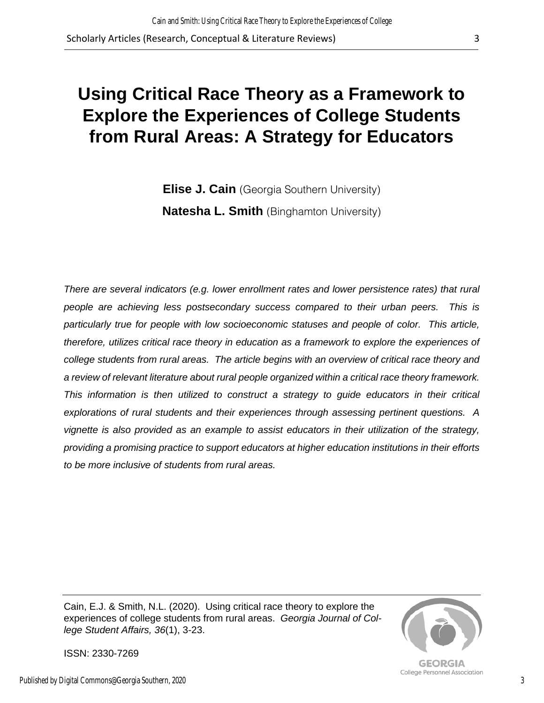# **Using Critical Race Theory as a Framework to Explore the Experiences of College Students from Rural Areas: A Strategy for Educators**

**Elise J. Cain** (Georgia Southern University) **Natesha L. Smith** (Binghamton University)

*There are several indicators (e.g. lower enrollment rates and lower persistence rates) that rural people are achieving less postsecondary success compared to their urban peers. This is particularly true for people with low socioeconomic statuses and people of color. This article, therefore, utilizes critical race theory in education as a framework to explore the experiences of college students from rural areas. The article begins with an overview of critical race theory and a review of relevant literature about rural people organized within a critical race theory framework. This information is then utilized to construct a strategy to guide educators in their critical explorations of rural students and their experiences through assessing pertinent questions. A vignette is also provided as an example to assist educators in their utilization of the strategy, providing a promising practice to support educators at higher education institutions in their efforts to be more inclusive of students from rural areas.*

Cain, E.J. & Smith, N.L. (2020). Using critical race theory to explore the experiences of college students from rural areas. *Georgia Journal of College Student Affairs, 36*(1), 3-23.



**GEORGIA** College Personnel Association

ISSN: 2330-7269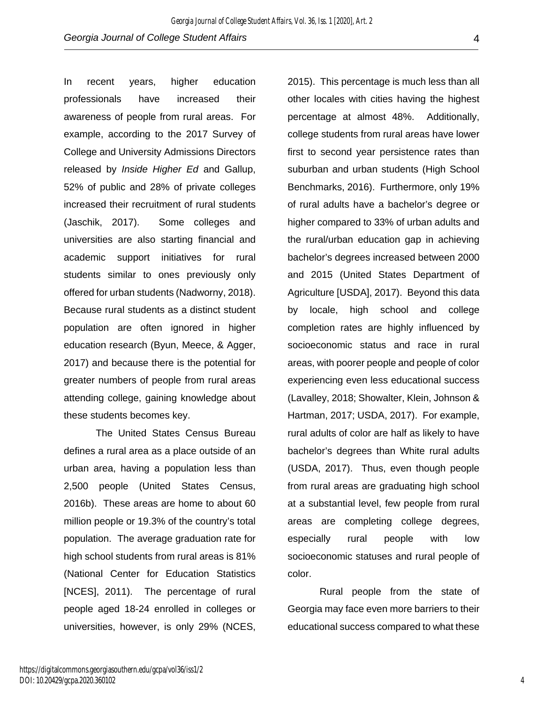In recent years, higher education professionals have increased their awareness of people from rural areas. For example, according to the 2017 Survey of College and University Admissions Directors released by *Inside Higher Ed* and Gallup, 52% of public and 28% of private colleges increased their recruitment of rural students (Jaschik, 2017). Some colleges and universities are also starting financial and academic support initiatives for rural students similar to ones previously only offered for urban students (Nadworny, 2018). Because rural students as a distinct student population are often ignored in higher education research (Byun, Meece, & Agger, 2017) and because there is the potential for greater numbers of people from rural areas attending college, gaining knowledge about these students becomes key.

The United States Census Bureau defines a rural area as a place outside of an urban area, having a population less than 2,500 people (United States Census, 2016b). These areas are home to about 60 million people or 19.3% of the country's total population. The average graduation rate for high school students from rural areas is 81% (National Center for Education Statistics [NCES], 2011). The percentage of rural people aged 18-24 enrolled in colleges or universities, however, is only 29% (NCES,

2015). This percentage is much less than all other locales with cities having the highest percentage at almost 48%. Additionally, college students from rural areas have lower first to second year persistence rates than suburban and urban students (High School Benchmarks, 2016). Furthermore, only 19% of rural adults have a bachelor's degree or higher compared to 33% of urban adults and the rural/urban education gap in achieving bachelor's degrees increased between 2000 and 2015 (United States Department of Agriculture [USDA], 2017). Beyond this data by locale, high school and college completion rates are highly influenced by socioeconomic status and race in rural areas, with poorer people and people of color experiencing even less educational success (Lavalley, 2018; Showalter, Klein, Johnson & Hartman, 2017; USDA, 2017). For example, rural adults of color are half as likely to have bachelor's degrees than White rural adults (USDA, 2017). Thus, even though people from rural areas are graduating high school at a substantial level, few people from rural areas are completing college degrees, especially rural people with low socioeconomic statuses and rural people of color.

Rural people from the state of Georgia may face even more barriers to their educational success compared to what these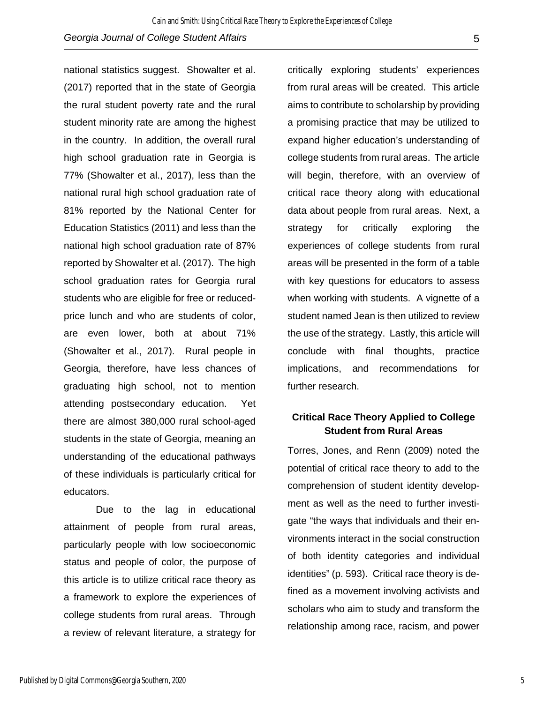national statistics suggest. Showalter et al. (2017) reported that in the state of Georgia the rural student poverty rate and the rural student minority rate are among the highest in the country. In addition, the overall rural high school graduation rate in Georgia is 77% (Showalter et al., 2017), less than the national rural high school graduation rate of 81% reported by the National Center for Education Statistics (2011) and less than the national high school graduation rate of 87% reported by Showalter et al. (2017). The high school graduation rates for Georgia rural students who are eligible for free or reducedprice lunch and who are students of color, are even lower, both at about 71% (Showalter et al., 2017). Rural people in Georgia, therefore, have less chances of graduating high school, not to mention attending postsecondary education. Yet there are almost 380,000 rural school-aged students in the state of Georgia, meaning an understanding of the educational pathways of these individuals is particularly critical for educators.

Due to the lag in educational attainment of people from rural areas, particularly people with low socioeconomic status and people of color, the purpose of this article is to utilize critical race theory as a framework to explore the experiences of college students from rural areas. Through a review of relevant literature, a strategy for

critically exploring students' experiences from rural areas will be created. This article aims to contribute to scholarship by providing a promising practice that may be utilized to expand higher education's understanding of college students from rural areas. The article will begin, therefore, with an overview of critical race theory along with educational data about people from rural areas. Next, a strategy for critically exploring the experiences of college students from rural areas will be presented in the form of a table with key questions for educators to assess when working with students. A vignette of a student named Jean is then utilized to review the use of the strategy. Lastly, this article will conclude with final thoughts, practice implications, and recommendations for further research.

#### **Critical Race Theory Applied to College Student from Rural Areas**

Torres, Jones, and Renn (2009) noted the potential of critical race theory to add to the comprehension of student identity development as well as the need to further investigate "the ways that individuals and their environments interact in the social construction of both identity categories and individual identities" (p. 593). Critical race theory is defined as a movement involving activists and scholars who aim to study and transform the relationship among race, racism, and power

Published by Digital Commons@Georgia Southern, 2020

5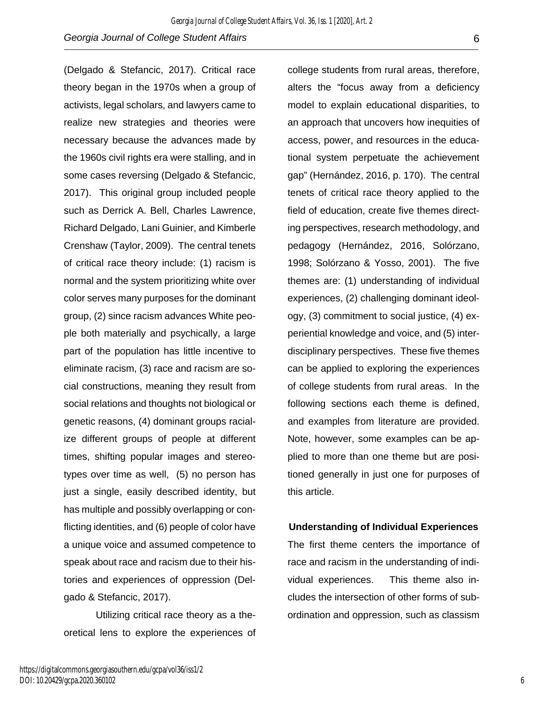(Delgado & Stefancic, 2017). Critical race theory began in the 1970s when a group of activists, legal scholars, and lawyers came to realize new strategies and theories were necessary because the advances made by the 1960s civil rights era were stalling, and in some cases reversing (Delgado & Stefancic, 2017). This original group included people such as Derrick A. Bell, Charles Lawrence, Richard Delgado, Lani Guinier, and Kimberle Crenshaw (Taylor, 2009). The central tenets of critical race theory include: (1) racism is normal and the system prioritizing white over color serves many purposes for the dominant group, (2) since racism advances White people both materially and psychically, a large part of the population has little incentive to eliminate racism, (3) race and racism are social constructions, meaning they result from social relations and thoughts not biological or genetic reasons, (4) dominant groups racialize different groups of people at different times, shifting popular images and stereotypes over time as well, (5) no person has just a single, easily described identity, but has multiple and possibly overlapping or conflicting identities, and (6) people of color have a unique voice and assumed competence to speak about race and racism due to their histories and experiences of oppression (Delgado & Stefancic, 2017).

Utilizing critical race theory as a theoretical lens to explore the experiences of college students from rural areas, therefore, alters the "focus away from a deficiency model to explain educational disparities, to an approach that uncovers how inequities of access, power, and resources in the educational system perpetuate the achievement gap" (Hernández, 2016, p. 170). The central tenets of critical race theory applied to the field of education, create five themes directing perspectives, research methodology, and pedagogy (Hernández, 2016, Solórzano, 1998; Solórzano & Yosso, 2001). The five themes are: (1) understanding of individual experiences, (2) challenging dominant ideology, (3) commitment to social justice, (4) experiential knowledge and voice, and (5) interdisciplinary perspectives. These five themes can be applied to exploring the experiences of college students from rural areas. In the following sections each theme is defined, and examples from literature are provided. Note, however, some examples can be applied to more than one theme but are positioned generally in just one for purposes of this article.

#### **Understanding of Individual Experiences**

The first theme centers the importance of race and racism in the understanding of individual experiences. This theme also includes the intersection of other forms of subordination and oppression, such as classism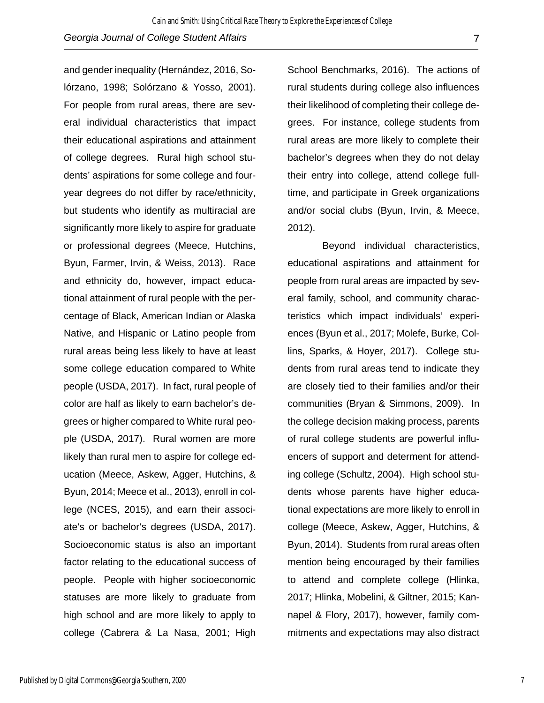and gender inequality (Hernández, 2016, Solórzano, 1998; Solórzano & Yosso, 2001). For people from rural areas, there are several individual characteristics that impact their educational aspirations and attainment of college degrees. Rural high school students' aspirations for some college and fouryear degrees do not differ by race/ethnicity, but students who identify as multiracial are significantly more likely to aspire for graduate or professional degrees (Meece, Hutchins, Byun, Farmer, Irvin, & Weiss, 2013). Race and ethnicity do, however, impact educational attainment of rural people with the percentage of Black, American Indian or Alaska Native, and Hispanic or Latino people from rural areas being less likely to have at least some college education compared to White people (USDA, 2017). In fact, rural people of color are half as likely to earn bachelor's degrees or higher compared to White rural people (USDA, 2017). Rural women are more likely than rural men to aspire for college education (Meece, Askew, Agger, Hutchins, & Byun, 2014; Meece et al., 2013), enroll in college (NCES, 2015), and earn their associate's or bachelor's degrees (USDA, 2017). Socioeconomic status is also an important factor relating to the educational success of people. People with higher socioeconomic statuses are more likely to graduate from high school and are more likely to apply to college (Cabrera & La Nasa, 2001; High

School Benchmarks, 2016). The actions of rural students during college also influences their likelihood of completing their college degrees. For instance, college students from rural areas are more likely to complete their bachelor's degrees when they do not delay their entry into college, attend college fulltime, and participate in Greek organizations and/or social clubs (Byun, Irvin, & Meece, 2012).

Beyond individual characteristics, educational aspirations and attainment for people from rural areas are impacted by several family, school, and community characteristics which impact individuals' experiences (Byun et al., 2017; Molefe, Burke, Collins, Sparks, & Hoyer, 2017). College students from rural areas tend to indicate they are closely tied to their families and/or their communities (Bryan & Simmons, 2009). In the college decision making process, parents of rural college students are powerful influencers of support and determent for attending college (Schultz, 2004). High school students whose parents have higher educational expectations are more likely to enroll in college (Meece, Askew, Agger, Hutchins, & Byun, 2014). Students from rural areas often mention being encouraged by their families to attend and complete college (Hlinka, 2017; Hlinka, Mobelini, & Giltner, 2015; Kannapel & Flory, 2017), however, family commitments and expectations may also distract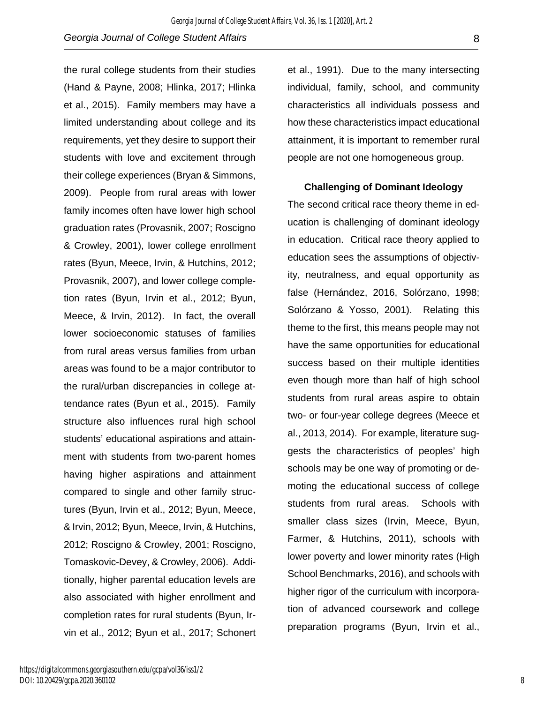the rural college students from their studies (Hand & Payne, 2008; Hlinka, 2017; Hlinka et al., 2015). Family members may have a limited understanding about college and its requirements, yet they desire to support their students with love and excitement through their college experiences (Bryan & Simmons, 2009). People from rural areas with lower family incomes often have lower high school graduation rates (Provasnik, 2007; Roscigno & Crowley, 2001), lower college enrollment rates (Byun, Meece, Irvin, & Hutchins, 2012; Provasnik, 2007), and lower college completion rates (Byun, Irvin et al., 2012; Byun, Meece, & Irvin, 2012). In fact, the overall lower socioeconomic statuses of families from rural areas versus families from urban areas was found to be a major contributor to the rural/urban discrepancies in college attendance rates (Byun et al., 2015). Family structure also influences rural high school students' educational aspirations and attainment with students from two-parent homes having higher aspirations and attainment compared to single and other family structures (Byun, Irvin et al., 2012; Byun, Meece, & Irvin, 2012; Byun, Meece, Irvin, & Hutchins, 2012; Roscigno & Crowley, 2001; Roscigno, Tomaskovic-Devey, & Crowley, 2006). Additionally, higher parental education levels are also associated with higher enrollment and completion rates for rural students (Byun, Irvin et al., 2012; Byun et al., 2017; Schonert

et al., 1991). Due to the many intersecting individual, family, school, and community characteristics all individuals possess and how these characteristics impact educational attainment, it is important to remember rural people are not one homogeneous group.

**Challenging of Dominant Ideology**

The second critical race theory theme in education is challenging of dominant ideology in education. Critical race theory applied to education sees the assumptions of objectivity, neutralness, and equal opportunity as false (Hernández, 2016, Solórzano, 1998; Solórzano & Yosso, 2001). Relating this theme to the first, this means people may not have the same opportunities for educational success based on their multiple identities even though more than half of high school students from rural areas aspire to obtain two- or four-year college degrees (Meece et al., 2013, 2014). For example, literature suggests the characteristics of peoples' high schools may be one way of promoting or demoting the educational success of college students from rural areas. Schools with smaller class sizes (Irvin, Meece, Byun, Farmer, & Hutchins, 2011), schools with lower poverty and lower minority rates (High School Benchmarks, 2016), and schools with higher rigor of the curriculum with incorporation of advanced coursework and college preparation programs (Byun, Irvin et al.,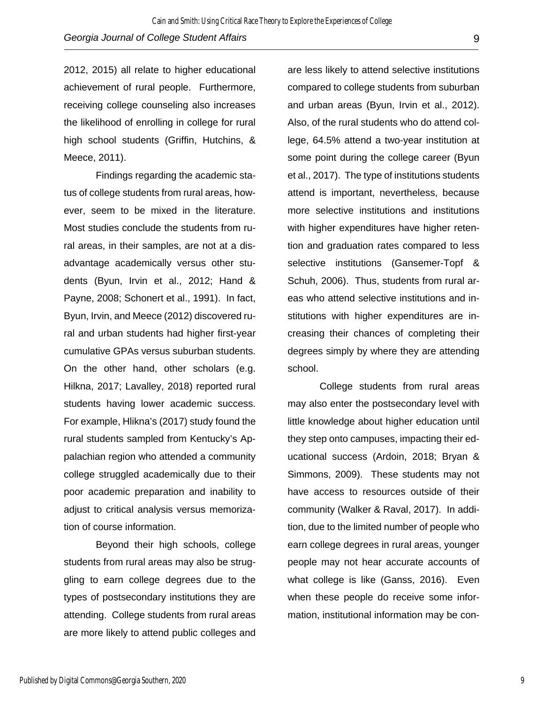2012, 2015) all relate to higher educational achievement of rural people. Furthermore, receiving college counseling also increases the likelihood of enrolling in college for rural high school students (Griffin, Hutchins, & Meece, 2011).

Findings regarding the academic status of college students from rural areas, however, seem to be mixed in the literature. Most studies conclude the students from rural areas, in their samples, are not at a disadvantage academically versus other students (Byun, Irvin et al., 2012; Hand & Payne, 2008; Schonert et al., 1991). In fact, Byun, Irvin, and Meece (2012) discovered rural and urban students had higher first-year cumulative GPAs versus suburban students. On the other hand, other scholars (e.g. Hilkna, 2017; Lavalley, 2018) reported rural students having lower academic success. For example, Hlikna's (2017) study found the rural students sampled from Kentucky's Appalachian region who attended a community college struggled academically due to their poor academic preparation and inability to adjust to critical analysis versus memorization of course information.

Beyond their high schools, college students from rural areas may also be struggling to earn college degrees due to the types of postsecondary institutions they are attending. College students from rural areas are more likely to attend public colleges and

are less likely to attend selective institutions compared to college students from suburban and urban areas (Byun, Irvin et al., 2012). Also, of the rural students who do attend college, 64.5% attend a two-year institution at some point during the college career (Byun et al., 2017). The type of institutions students attend is important, nevertheless, because more selective institutions and institutions with higher expenditures have higher retention and graduation rates compared to less selective institutions (Gansemer-Topf & Schuh, 2006). Thus, students from rural areas who attend selective institutions and institutions with higher expenditures are increasing their chances of completing their degrees simply by where they are attending school.

College students from rural areas may also enter the postsecondary level with little knowledge about higher education until they step onto campuses, impacting their educational success (Ardoin, 2018; Bryan & Simmons, 2009). These students may not have access to resources outside of their community (Walker & Raval, 2017). In addition, due to the limited number of people who earn college degrees in rural areas, younger people may not hear accurate accounts of what college is like (Ganss, 2016). Even when these people do receive some information, institutional information may be con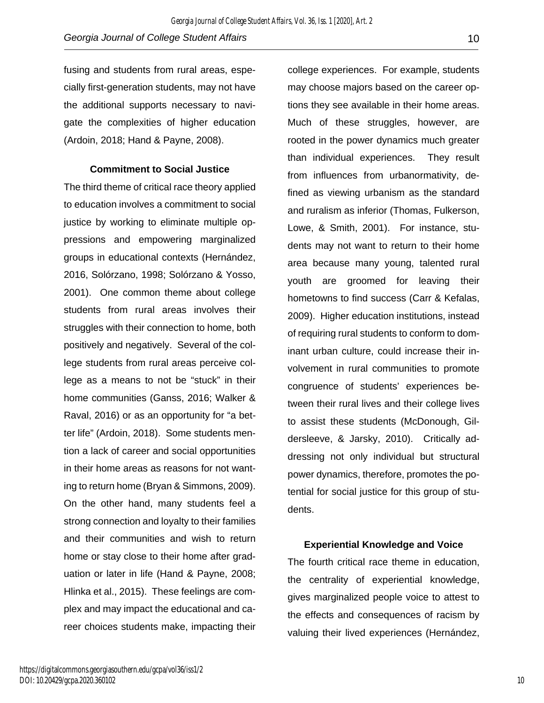fusing and students from rural areas, especially first-generation students, may not have the additional supports necessary to navigate the complexities of higher education (Ardoin, 2018; Hand & Payne, 2008).

**Commitment to Social Justice**

The third theme of critical race theory applied to education involves a commitment to social justice by working to eliminate multiple oppressions and empowering marginalized groups in educational contexts (Hernández, 2016, Solórzano, 1998; Solórzano & Yosso, 2001). One common theme about college students from rural areas involves their struggles with their connection to home, both positively and negatively. Several of the college students from rural areas perceive college as a means to not be "stuck" in their home communities (Ganss, 2016; Walker & Raval, 2016) or as an opportunity for "a better life" (Ardoin, 2018). Some students mention a lack of career and social opportunities in their home areas as reasons for not wanting to return home (Bryan & Simmons, 2009). On the other hand, many students feel a strong connection and loyalty to their families and their communities and wish to return home or stay close to their home after graduation or later in life (Hand & Payne, 2008; Hlinka et al., 2015). These feelings are complex and may impact the educational and career choices students make, impacting their

college experiences. For example, students may choose majors based on the career options they see available in their home areas. Much of these struggles, however, are rooted in the power dynamics much greater than individual experiences. They result from influences from urbanormativity, defined as viewing urbanism as the standard and ruralism as inferior (Thomas, Fulkerson, Lowe, & Smith, 2001). For instance, students may not want to return to their home area because many young, talented rural youth are groomed for leaving their hometowns to find success (Carr & Kefalas, 2009). Higher education institutions, instead of requiring rural students to conform to dominant urban culture, could increase their involvement in rural communities to promote congruence of students' experiences between their rural lives and their college lives to assist these students (McDonough, Gildersleeve, & Jarsky, 2010). Critically addressing not only individual but structural power dynamics, therefore, promotes the potential for social justice for this group of students.

**Experiential Knowledge and Voice**

The fourth critical race theme in education, the centrality of experiential knowledge, gives marginalized people voice to attest to the effects and consequences of racism by valuing their lived experiences (Hernández,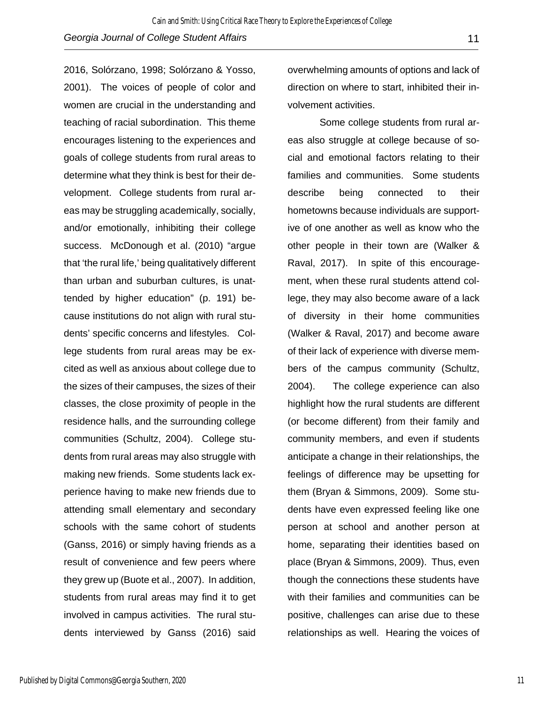2016, Solórzano, 1998; Solórzano & Yosso, 2001). The voices of people of color and women are crucial in the understanding and teaching of racial subordination. This theme encourages listening to the experiences and goals of college students from rural areas to determine what they think is best for their development. College students from rural areas may be struggling academically, socially, and/or emotionally, inhibiting their college success. McDonough et al. (2010) "argue that 'the rural life,' being qualitatively different than urban and suburban cultures, is unattended by higher education" (p. 191) because institutions do not align with rural students' specific concerns and lifestyles. College students from rural areas may be excited as well as anxious about college due to the sizes of their campuses, the sizes of their classes, the close proximity of people in the residence halls, and the surrounding college communities (Schultz, 2004). College students from rural areas may also struggle with making new friends. Some students lack experience having to make new friends due to attending small elementary and secondary schools with the same cohort of students (Ganss, 2016) or simply having friends as a result of convenience and few peers where they grew up (Buote et al., 2007). In addition, students from rural areas may find it to get involved in campus activities. The rural students interviewed by Ganss (2016) said

overwhelming amounts of options and lack of direction on where to start, inhibited their involvement activities.

Some college students from rural areas also struggle at college because of social and emotional factors relating to their families and communities. Some students describe being connected to their hometowns because individuals are supportive of one another as well as know who the other people in their town are (Walker & Raval, 2017). In spite of this encouragement, when these rural students attend college, they may also become aware of a lack of diversity in their home communities (Walker & Raval, 2017) and become aware of their lack of experience with diverse members of the campus community (Schultz, 2004). The college experience can also highlight how the rural students are different (or become different) from their family and community members, and even if students anticipate a change in their relationships, the feelings of difference may be upsetting for them (Bryan & Simmons, 2009). Some students have even expressed feeling like one person at school and another person at home, separating their identities based on place (Bryan & Simmons, 2009). Thus, even though the connections these students have with their families and communities can be positive, challenges can arise due to these relationships as well. Hearing the voices of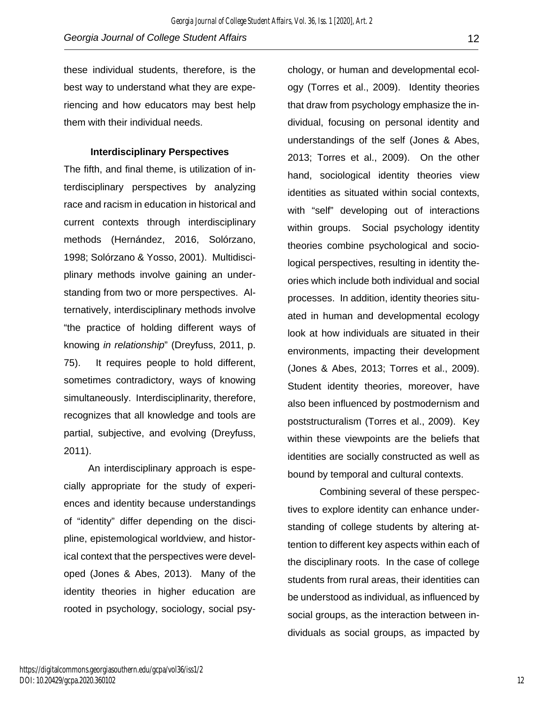these individual students, therefore, is the best way to understand what they are experiencing and how educators may best help them with their individual needs.

#### **Interdisciplinary Perspectives**

The fifth, and final theme, is utilization of interdisciplinary perspectives by analyzing race and racism in education in historical and current contexts through interdisciplinary methods (Hernández, 2016, Solórzano, 1998; Solórzano & Yosso, 2001). Multidisciplinary methods involve gaining an understanding from two or more perspectives. Alternatively, interdisciplinary methods involve "the practice of holding different ways of knowing *in relationship*" (Dreyfuss, 2011, p. 75). It requires people to hold different, sometimes contradictory, ways of knowing simultaneously. Interdisciplinarity, therefore, recognizes that all knowledge and tools are partial, subjective, and evolving (Dreyfuss, 2011).

 An interdisciplinary approach is especially appropriate for the study of experiences and identity because understandings of "identity" differ depending on the discipline, epistemological worldview, and historical context that the perspectives were developed (Jones & Abes, 2013). Many of the identity theories in higher education are rooted in psychology, sociology, social psychology, or human and developmental ecology (Torres et al., 2009). Identity theories that draw from psychology emphasize the individual, focusing on personal identity and understandings of the self (Jones & Abes, 2013; Torres et al., 2009). On the other hand, sociological identity theories view identities as situated within social contexts, with "self" developing out of interactions within groups. Social psychology identity theories combine psychological and sociological perspectives, resulting in identity theories which include both individual and social processes. In addition, identity theories situated in human and developmental ecology look at how individuals are situated in their environments, impacting their development (Jones & Abes, 2013; Torres et al., 2009). Student identity theories, moreover, have also been influenced by postmodernism and poststructuralism (Torres et al., 2009). Key within these viewpoints are the beliefs that identities are socially constructed as well as bound by temporal and cultural contexts.

Combining several of these perspectives to explore identity can enhance understanding of college students by altering attention to different key aspects within each of the disciplinary roots. In the case of college students from rural areas, their identities can be understood as individual, as influenced by social groups, as the interaction between individuals as social groups, as impacted by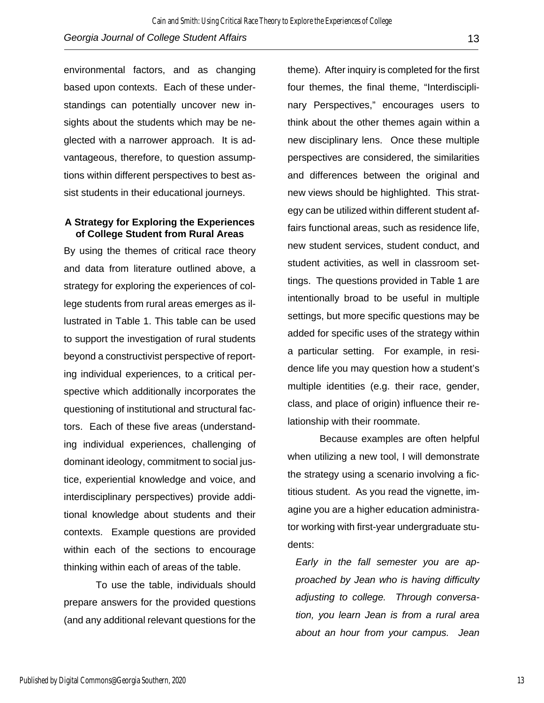environmental factors, and as changing based upon contexts. Each of these understandings can potentially uncover new insights about the students which may be neglected with a narrower approach. It is advantageous, therefore, to question assumptions within different perspectives to best assist students in their educational journeys.

#### **A Strategy for Exploring the Experiences of College Student from Rural Areas**

By using the themes of critical race theory and data from literature outlined above, a strategy for exploring the experiences of college students from rural areas emerges as illustrated in Table 1. This table can be used to support the investigation of rural students beyond a constructivist perspective of reporting individual experiences, to a critical perspective which additionally incorporates the questioning of institutional and structural factors. Each of these five areas (understanding individual experiences, challenging of dominant ideology, commitment to social justice, experiential knowledge and voice, and interdisciplinary perspectives) provide additional knowledge about students and their contexts. Example questions are provided within each of the sections to encourage thinking within each of areas of the table.

To use the table, individuals should prepare answers for the provided questions (and any additional relevant questions for the

theme). After inquiry is completed for the first four themes, the final theme, "Interdisciplinary Perspectives," encourages users to think about the other themes again within a new disciplinary lens. Once these multiple perspectives are considered, the similarities and differences between the original and new views should be highlighted. This strategy can be utilized within different student affairs functional areas, such as residence life, new student services, student conduct, and student activities, as well in classroom settings. The questions provided in Table 1 are intentionally broad to be useful in multiple settings, but more specific questions may be added for specific uses of the strategy within a particular setting. For example, in residence life you may question how a student's multiple identities (e.g. their race, gender, class, and place of origin) influence their relationship with their roommate.

Because examples are often helpful when utilizing a new tool, I will demonstrate the strategy using a scenario involving a fictitious student. As you read the vignette, imagine you are a higher education administrator working with first-year undergraduate students:

*Early in the fall semester you are approached by Jean who is having difficulty adjusting to college. Through conversation, you learn Jean is from a rural area about an hour from your campus. Jean*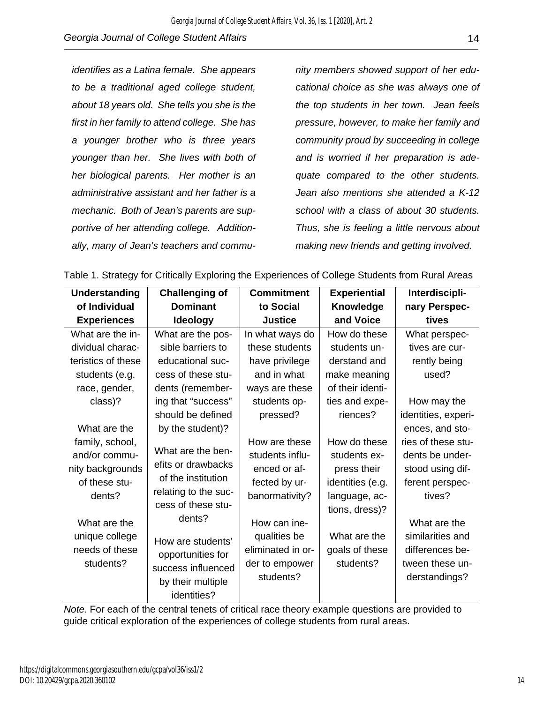*identifies as a Latina female. She appears to be a traditional aged college student, about 18 years old. She tells you she is the first in her family to attend college. She has a younger brother who is three years younger than her. She lives with both of her biological parents. Her mother is an administrative assistant and her father is a mechanic. Both of Jean's parents are supportive of her attending college. Additionally, many of Jean's teachers and commu-* *nity members showed support of her educational choice as she was always one of the top students in her town. Jean feels pressure, however, to make her family and community proud by succeeding in college and is worried if her preparation is adequate compared to the other students. Jean also mentions she attended a K-12 school with a class of about 30 students. Thus, she is feeling a little nervous about making new friends and getting involved.*

| <b>Understanding</b>                                                                                                                             | <b>Challenging of</b>                                                                                                                                                                                                     | <b>Commitment</b>                                                                                                                                                       | <b>Experiential</b>                                                                                                                               | Interdiscipli-                                                                                                                                                                    |
|--------------------------------------------------------------------------------------------------------------------------------------------------|---------------------------------------------------------------------------------------------------------------------------------------------------------------------------------------------------------------------------|-------------------------------------------------------------------------------------------------------------------------------------------------------------------------|---------------------------------------------------------------------------------------------------------------------------------------------------|-----------------------------------------------------------------------------------------------------------------------------------------------------------------------------------|
| of Individual                                                                                                                                    | <b>Dominant</b>                                                                                                                                                                                                           | to Social                                                                                                                                                               | <b>Knowledge</b>                                                                                                                                  | nary Perspec-                                                                                                                                                                     |
| <b>Experiences</b>                                                                                                                               | <b>Ideology</b>                                                                                                                                                                                                           | <b>Justice</b>                                                                                                                                                          | and Voice                                                                                                                                         | tives                                                                                                                                                                             |
| What are the in-                                                                                                                                 | What are the pos-                                                                                                                                                                                                         | In what ways do                                                                                                                                                         | How do these                                                                                                                                      | What perspec-                                                                                                                                                                     |
| dividual charac-                                                                                                                                 | sible barriers to                                                                                                                                                                                                         | these students                                                                                                                                                          | students un-                                                                                                                                      | tives are cur-                                                                                                                                                                    |
| teristics of these                                                                                                                               | educational suc-                                                                                                                                                                                                          | have privilege                                                                                                                                                          | derstand and                                                                                                                                      | rently being                                                                                                                                                                      |
| students (e.g.                                                                                                                                   | cess of these stu-                                                                                                                                                                                                        | and in what                                                                                                                                                             | make meaning                                                                                                                                      | used?                                                                                                                                                                             |
| race, gender,                                                                                                                                    | dents (remember-                                                                                                                                                                                                          | ways are these                                                                                                                                                          | of their identi-                                                                                                                                  |                                                                                                                                                                                   |
| class)?                                                                                                                                          | ing that "success"                                                                                                                                                                                                        | students op-                                                                                                                                                            | ties and expe-                                                                                                                                    | How may the                                                                                                                                                                       |
|                                                                                                                                                  | should be defined                                                                                                                                                                                                         | pressed?                                                                                                                                                                | riences?                                                                                                                                          | identities, experi-                                                                                                                                                               |
| What are the                                                                                                                                     | by the student)?                                                                                                                                                                                                          |                                                                                                                                                                         |                                                                                                                                                   | ences, and sto-                                                                                                                                                                   |
| family, school,<br>and/or commu-<br>nity backgrounds<br>of these stu-<br>dents?<br>What are the<br>unique college<br>needs of these<br>students? | What are the ben-<br>efits or drawbacks<br>of the institution<br>relating to the suc-<br>cess of these stu-<br>dents?<br>How are students'<br>opportunities for<br>success influenced<br>by their multiple<br>identities? | How are these<br>students influ-<br>enced or af-<br>fected by ur-<br>banormativity?<br>How can ine-<br>qualities be<br>eliminated in or-<br>der to empower<br>students? | How do these<br>students ex-<br>press their<br>identities (e.g.<br>language, ac-<br>tions, dress)?<br>What are the<br>goals of these<br>students? | ries of these stu-<br>dents be under-<br>stood using dif-<br>ferent perspec-<br>tives?<br>What are the<br>similarities and<br>differences be-<br>tween these un-<br>derstandings? |

Table 1. Strategy for Critically Exploring the Experiences of College Students from Rural Areas

*Note*. For each of the central tenets of critical race theory example questions are provided to guide critical exploration of the experiences of college students from rural areas.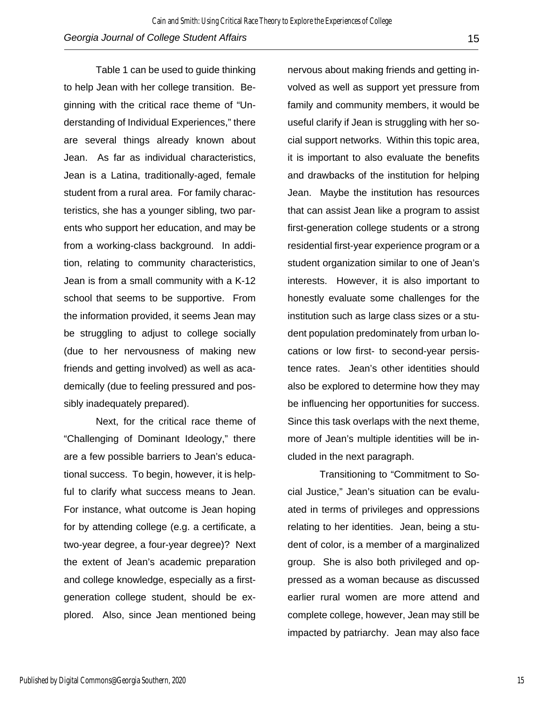Table 1 can be used to guide thinking to help Jean with her college transition. Beginning with the critical race theme of "Understanding of Individual Experiences," there are several things already known about Jean. As far as individual characteristics, Jean is a Latina, traditionally-aged, female student from a rural area. For family characteristics, she has a younger sibling, two parents who support her education, and may be from a working-class background. In addition, relating to community characteristics, Jean is from a small community with a K-12 school that seems to be supportive. From the information provided, it seems Jean may be struggling to adjust to college socially (due to her nervousness of making new friends and getting involved) as well as academically (due to feeling pressured and possibly inadequately prepared).

Next, for the critical race theme of "Challenging of Dominant Ideology," there are a few possible barriers to Jean's educational success. To begin, however, it is helpful to clarify what success means to Jean. For instance, what outcome is Jean hoping for by attending college (e.g. a certificate, a two-year degree, a four-year degree)? Next the extent of Jean's academic preparation and college knowledge, especially as a firstgeneration college student, should be explored. Also, since Jean mentioned being

nervous about making friends and getting involved as well as support yet pressure from family and community members, it would be useful clarify if Jean is struggling with her social support networks. Within this topic area, it is important to also evaluate the benefits and drawbacks of the institution for helping Jean. Maybe the institution has resources that can assist Jean like a program to assist first-generation college students or a strong residential first-year experience program or a student organization similar to one of Jean's interests. However, it is also important to honestly evaluate some challenges for the institution such as large class sizes or a student population predominately from urban locations or low first- to second-year persistence rates. Jean's other identities should also be explored to determine how they may be influencing her opportunities for success. Since this task overlaps with the next theme, more of Jean's multiple identities will be included in the next paragraph.

Transitioning to "Commitment to Social Justice," Jean's situation can be evaluated in terms of privileges and oppressions relating to her identities. Jean, being a student of color, is a member of a marginalized group. She is also both privileged and oppressed as a woman because as discussed earlier rural women are more attend and complete college, however, Jean may still be impacted by patriarchy. Jean may also face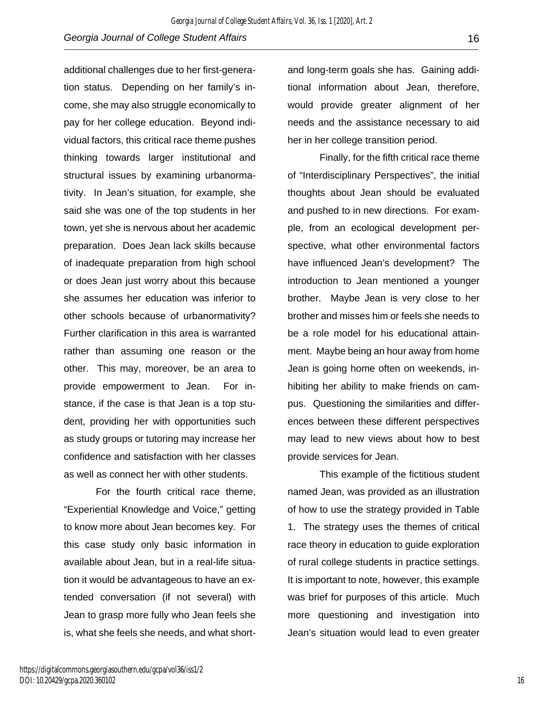additional challenges due to her first-generation status. Depending on her family's income, she may also struggle economically to pay for her college education. Beyond individual factors, this critical race theme pushes thinking towards larger institutional and structural issues by examining urbanormativity. In Jean's situation, for example, she said she was one of the top students in her town, yet she is nervous about her academic preparation. Does Jean lack skills because of inadequate preparation from high school or does Jean just worry about this because she assumes her education was inferior to other schools because of urbanormativity? Further clarification in this area is warranted rather than assuming one reason or the other. This may, moreover, be an area to provide empowerment to Jean. For instance, if the case is that Jean is a top student, providing her with opportunities such as study groups or tutoring may increase her confidence and satisfaction with her classes as well as connect her with other students.

For the fourth critical race theme, "Experiential Knowledge and Voice," getting to know more about Jean becomes key. For this case study only basic information in available about Jean, but in a real-life situation it would be advantageous to have an extended conversation (if not several) with Jean to grasp more fully who Jean feels she is, what she feels she needs, and what shortand long-term goals she has. Gaining additional information about Jean, therefore, would provide greater alignment of her needs and the assistance necessary to aid her in her college transition period.

Finally, for the fifth critical race theme of "Interdisciplinary Perspectives", the initial thoughts about Jean should be evaluated and pushed to in new directions. For example, from an ecological development perspective, what other environmental factors have influenced Jean's development? The introduction to Jean mentioned a younger brother. Maybe Jean is very close to her brother and misses him or feels she needs to be a role model for his educational attainment. Maybe being an hour away from home Jean is going home often on weekends, inhibiting her ability to make friends on campus. Questioning the similarities and differences between these different perspectives may lead to new views about how to best provide services for Jean.

This example of the fictitious student named Jean, was provided as an illustration of how to use the strategy provided in Table 1. The strategy uses the themes of critical race theory in education to guide exploration of rural college students in practice settings. It is important to note, however, this example was brief for purposes of this article. Much more questioning and investigation into Jean's situation would lead to even greater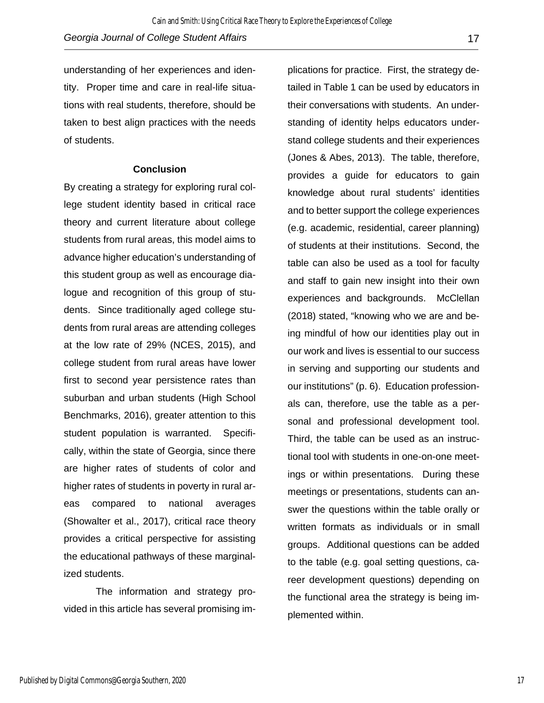understanding of her experiences and identity. Proper time and care in real-life situations with real students, therefore, should be taken to best align practices with the needs of students.

#### **Conclusion**

By creating a strategy for exploring rural college student identity based in critical race theory and current literature about college students from rural areas, this model aims to advance higher education's understanding of this student group as well as encourage dialogue and recognition of this group of students. Since traditionally aged college students from rural areas are attending colleges at the low rate of 29% (NCES, 2015), and college student from rural areas have lower first to second year persistence rates than suburban and urban students (High School Benchmarks, 2016), greater attention to this student population is warranted. Specifically, within the state of Georgia, since there are higher rates of students of color and higher rates of students in poverty in rural areas compared to national averages (Showalter et al., 2017), critical race theory provides a critical perspective for assisting the educational pathways of these marginalized students.

The information and strategy provided in this article has several promising implications for practice. First, the strategy detailed in Table 1 can be used by educators in their conversations with students. An understanding of identity helps educators understand college students and their experiences (Jones & Abes, 2013). The table, therefore, provides a guide for educators to gain knowledge about rural students' identities and to better support the college experiences (e.g. academic, residential, career planning) of students at their institutions. Second, the table can also be used as a tool for faculty and staff to gain new insight into their own experiences and backgrounds. McClellan (2018) stated, "knowing who we are and being mindful of how our identities play out in our work and lives is essential to our success in serving and supporting our students and our institutions" (p. 6). Education professionals can, therefore, use the table as a personal and professional development tool. Third, the table can be used as an instructional tool with students in one-on-one meetings or within presentations. During these meetings or presentations, students can answer the questions within the table orally or written formats as individuals or in small groups. Additional questions can be added to the table (e.g. goal setting questions, career development questions) depending on the functional area the strategy is being implemented within.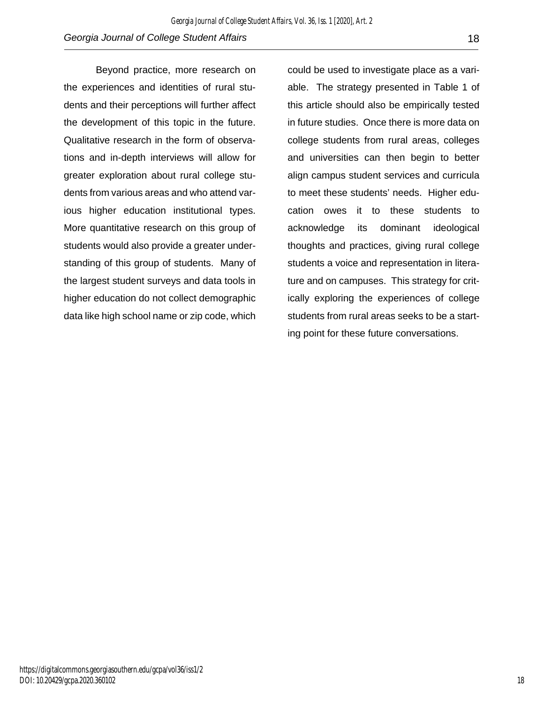Beyond practice, more research on the experiences and identities of rural students and their perceptions will further affect the development of this topic in the future. Qualitative research in the form of observations and in-depth interviews will allow for greater exploration about rural college students from various areas and who attend various higher education institutional types. More quantitative research on this group of students would also provide a greater understanding of this group of students. Many of the largest student surveys and data tools in higher education do not collect demographic data like high school name or zip code, which

could be used to investigate place as a variable. The strategy presented in Table 1 of this article should also be empirically tested in future studies. Once there is more data on college students from rural areas, colleges and universities can then begin to better align campus student services and curricula to meet these students' needs. Higher education owes it to these students to acknowledge its dominant ideological thoughts and practices, giving rural college students a voice and representation in literature and on campuses. This strategy for critically exploring the experiences of college students from rural areas seeks to be a starting point for these future conversations.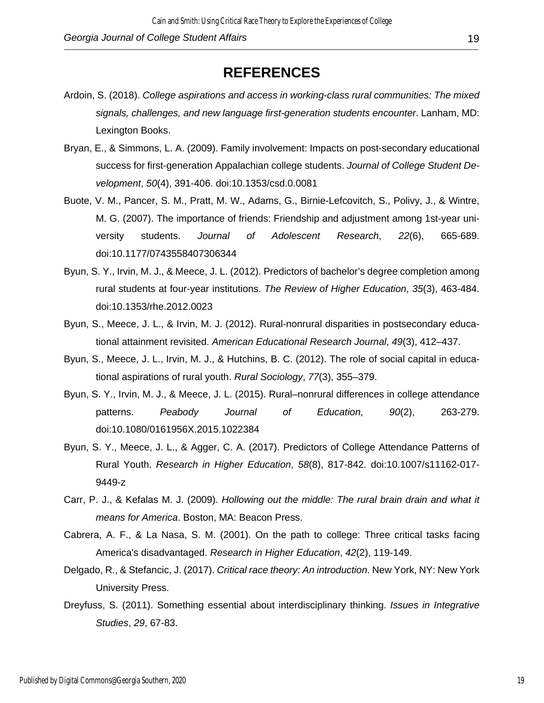## **REFERENCES**

- Ardoin, S. (2018). *College aspirations and access in working-class rural communities: The mixed signals, challenges, and new language first-generation students encounter*. Lanham, MD: Lexington Books.
- Bryan, E., & Simmons, L. A. (2009). Family involvement: Impacts on post-secondary educational success for first-generation Appalachian college students. *Journal of College Student Development*, *50*(4), 391-406. doi:10.1353/csd.0.0081
- Buote, V. M., Pancer, S. M., Pratt, M. W., Adams, G., Birnie-Lefcovitch, S., Polivy, J., & Wintre, M. G. (2007). The importance of friends: Friendship and adjustment among 1st-year university students. *Journal of Adolescent Research*, *22*(6), 665-689. doi:10.1177/0743558407306344
- Byun, S. Y., Irvin, M. J., & Meece, J. L. (2012). Predictors of bachelor's degree completion among rural students at four-year institutions. *The Review of Higher Education*, *35*(3), 463-484. doi:10.1353/rhe.2012.0023
- Byun, S., Meece, J. L., & Irvin, M. J. (2012). Rural-nonrural disparities in postsecondary educational attainment revisited. *American Educational Research Journal*, *49*(3), 412–437.
- Byun, S., Meece, J. L., Irvin, M. J., & Hutchins, B. C. (2012). The role of social capital in educational aspirations of rural youth. *Rural Sociology*, *77*(3), 355–379.
- Byun, S. Y., Irvin, M. J., & Meece, J. L. (2015). Rural–nonrural differences in college attendance patterns. *Peabody Journal of Education*, *90*(2), 263-279. doi:10.1080/0161956X.2015.1022384
- Byun, S. Y., Meece, J. L., & Agger, C. A. (2017). Predictors of College Attendance Patterns of Rural Youth. *Research in Higher Education*, *58*(8), 817-842. doi:10.1007/s11162-017- 9449-z
- Carr, P. J., & Kefalas M. J. (2009). *Hollowing out the middle: The rural brain drain and what it means for America*. Boston, MA: Beacon Press.
- Cabrera, A. F., & La Nasa, S. M. (2001). On the path to college: Three critical tasks facing America's disadvantaged. *Research in Higher Education*, *42*(2), 119-149.
- Delgado, R., & Stefancic, J. (2017). *Critical race theory: An introduction*. New York, NY: New York University Press.
- Dreyfuss, S. (2011). Something essential about interdisciplinary thinking. *Issues in Integrative Studies*, *29*, 67-83.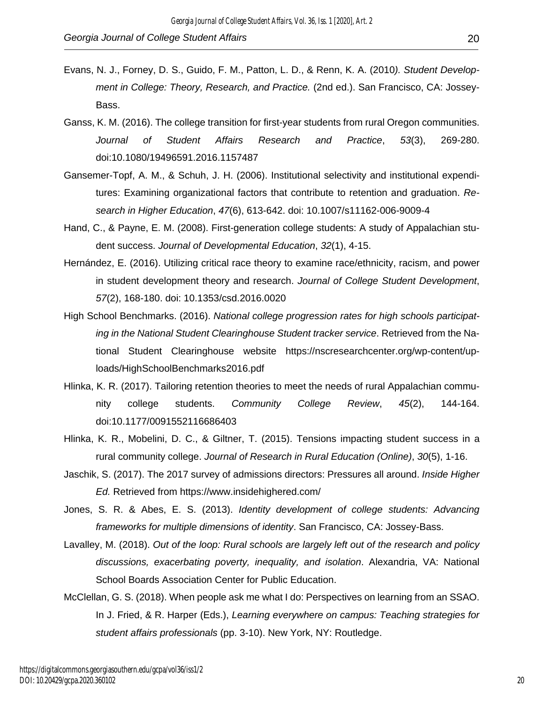- Evans, N. J., Forney, D. S., Guido, F. M., Patton, L. D., & Renn, K. A. (2010*). Student Development in College: Theory, Research, and Practice.* (2nd ed.). San Francisco, CA: Jossey-Bass.
- Ganss, K. M. (2016). The college transition for first-year students from rural Oregon communities. *Journal of Student Affairs Research and Practice*, *53*(3), 269-280. doi:10.1080/19496591.2016.1157487
- Gansemer-Topf, A. M., & Schuh, J. H. (2006). Institutional selectivity and institutional expenditures: Examining organizational factors that contribute to retention and graduation. *Research in Higher Education*, *47*(6), 613-642. doi: 10.1007/s11162-006-9009-4
- Hand, C., & Payne, E. M. (2008). First-generation college students: A study of Appalachian student success. *Journal of Developmental Education*, *32*(1), 4-15.
- Hernández, E. (2016). Utilizing critical race theory to examine race/ethnicity, racism, and power in student development theory and research. *Journal of College Student Development*, *57*(2), 168-180. doi: 10.1353/csd.2016.0020
- High School Benchmarks. (2016). *National college progression rates for high schools participating in the National Student Clearinghouse Student tracker service*. Retrieved from the National Student Clearinghouse website https://nscresearchcenter.org/wp-content/uploads/HighSchoolBenchmarks2016.pdf
- Hlinka, K. R. (2017). Tailoring retention theories to meet the needs of rural Appalachian community college students. *Community College Review*, *45*(2), 144-164. doi:10.1177/0091552116686403
- Hlinka, K. R., Mobelini, D. C., & Giltner, T. (2015). Tensions impacting student success in a rural community college. *Journal of Research in Rural Education (Online)*, *30*(5), 1-16.
- Jaschik, S. (2017). The 2017 survey of admissions directors: Pressures all around. *Inside Higher Ed.* Retrieved from https://www.insidehighered.com/
- Jones, S. R. & Abes, E. S. (2013). *Identity development of college students: Advancing frameworks for multiple dimensions of identity*. San Francisco, CA: Jossey-Bass.
- Lavalley, M. (2018). *Out of the loop: Rural schools are largely left out of the research and policy discussions, exacerbating poverty, inequality, and isolation*. Alexandria, VA: National School Boards Association Center for Public Education.
- McClellan, G. S. (2018). When people ask me what I do: Perspectives on learning from an SSAO. In J. Fried, & R. Harper (Eds.), *Learning everywhere on campus: Teaching strategies for student affairs professionals* (pp. 3-10). New York, NY: Routledge.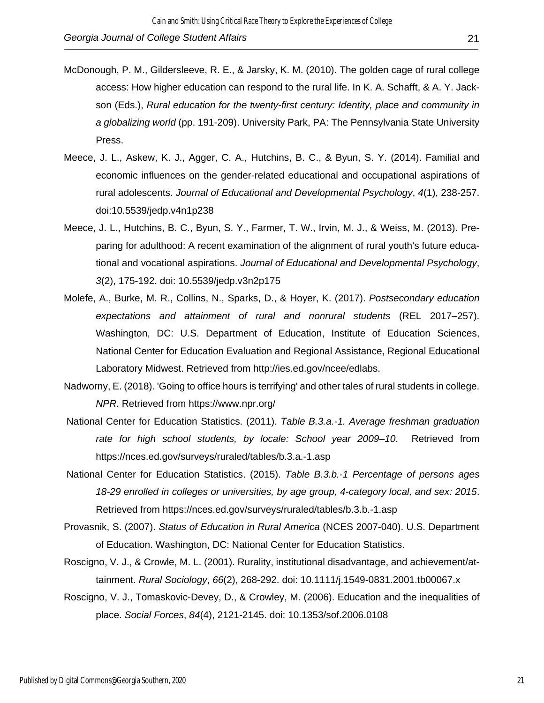- McDonough, P. M., Gildersleeve, R. E., & Jarsky, K. M. (2010). The golden cage of rural college access: How higher education can respond to the rural life. In K. A. Schafft, & A. Y. Jackson (Eds.), *Rural education for the twenty-first century: Identity, place and community in a globalizing world* (pp. 191-209). University Park, PA: The Pennsylvania State University Press.
- Meece, J. L., Askew, K. J., Agger, C. A., Hutchins, B. C., & Byun, S. Y. (2014). Familial and economic influences on the gender-related educational and occupational aspirations of rural adolescents. *Journal of Educational and Developmental Psychology*, *4*(1), 238-257. doi:10.5539/jedp.v4n1p238
- Meece, J. L., Hutchins, B. C., Byun, S. Y., Farmer, T. W., Irvin, M. J., & Weiss, M. (2013). Preparing for adulthood: A recent examination of the alignment of rural youth's future educational and vocational aspirations. *Journal of Educational and Developmental Psychology*, *3*(2), 175-192. doi: 10.5539/jedp.v3n2p175
- Molefe, A., Burke, M. R., Collins, N., Sparks, D., & Hoyer, K. (2017). *Postsecondary education expectations and attainment of rural and nonrural students* (REL 2017–257). Washington, DC: U.S. Department of Education, Institute of Education Sciences, National Center for Education Evaluation and Regional Assistance, Regional Educational Laboratory Midwest. Retrieved from http://ies.ed.gov/ncee/edlabs.
- Nadworny, E. (2018). 'Going to office hours is terrifying' and other tales of rural students in college. *NPR*. Retrieved from https://www.npr.org/
- National Center for Education Statistics. (2011). *Table B.3.a.-1. Average freshman graduation rate for high school students, by locale: School year 2009–10*. Retrieved from https://nces.ed.gov/surveys/ruraled/tables/b.3.a.-1.asp
- National Center for Education Statistics. (2015). *Table B.3.b.-1 Percentage of persons ages 18-29 enrolled in colleges or universities, by age group, 4-category local, and sex: 2015*. Retrieved from https://nces.ed.gov/surveys/ruraled/tables/b.3.b.-1.asp
- Provasnik, S. (2007). *Status of Education in Rural America* (NCES 2007-040). U.S. Department of Education. Washington, DC: National Center for Education Statistics.
- Roscigno, V. J., & Crowle, M. L. (2001). Rurality, institutional disadvantage, and achievement/attainment. *Rural Sociology*, *66*(2), 268-292. doi: 10.1111/j.1549-0831.2001.tb00067.x
- Roscigno, V. J., Tomaskovic-Devey, D., & Crowley, M. (2006). Education and the inequalities of place. *Social Forces*, *84*(4), 2121-2145. doi: 10.1353/sof.2006.0108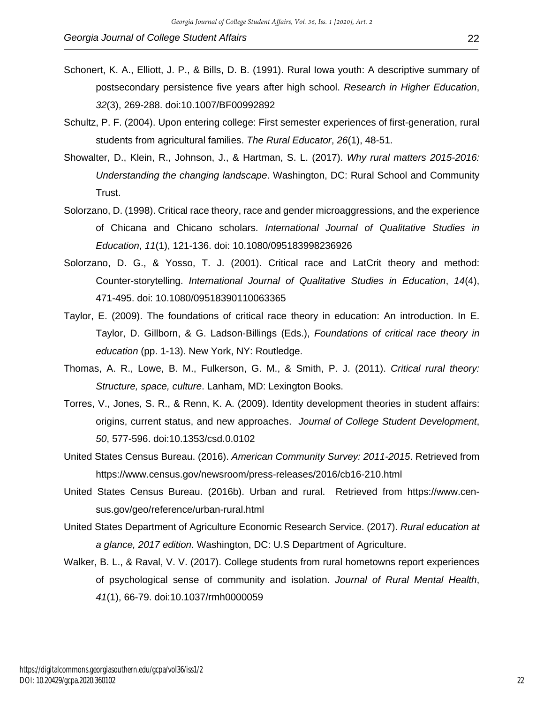- Schultz, P. F. (2004). Upon entering college: First semester experiences of first-generation, rural students from agricultural families. *The Rural Educator*, *26*(1), 48-51.
- Showalter, D., Klein, R., Johnson, J., & Hartman, S. L. (2017). *Why rural matters 2015-2016: Understanding the changing landscape*. Washington, DC: Rural School and Community Trust.
- Solorzano, D. (1998). Critical race theory, race and gender microaggressions, and the experience of Chicana and Chicano scholars. *International Journal of Qualitative Studies in Education*, *11*(1), 121-136. doi: 10.1080/095183998236926
- Solorzano, D. G., & Yosso, T. J. (2001). Critical race and LatCrit theory and method: Counter-storytelling. *International Journal of Qualitative Studies in Education*, *14*(4), 471-495. doi: 10.1080/09518390110063365
- Taylor, E. (2009). The foundations of critical race theory in education: An introduction. In E. Taylor, D. Gillborn, & G. Ladson-Billings (Eds.), *Foundations of critical race theory in education* (pp. 1-13). New York, NY: Routledge.
- Thomas, A. R., Lowe, B. M., Fulkerson, G. M., & Smith, P. J. (2011). *Critical rural theory: Structure, space, culture*. Lanham, MD: Lexington Books.
- Torres, V., Jones, S. R., & Renn, K. A. (2009). Identity development theories in student affairs: origins, current status, and new approaches. *Journal of College Student Development*, *50*, 577-596. doi:10.1353/csd.0.0102
- United States Census Bureau. (2016). *American Community Survey: 2011-2015*. Retrieved from https://www.census.gov/newsroom/press-releases/2016/cb16-210.html
- United States Census Bureau. (2016b). Urban and rural. Retrieved from https://www.census.gov/geo/reference/urban-rural.html
- United States Department of Agriculture Economic Research Service. (2017). *Rural education at a glance, 2017 edition*. Washington, DC: U.S Department of Agriculture.
- Walker, B. L., & Raval, V. V. (2017). College students from rural hometowns report experiences of psychological sense of community and isolation. *Journal of Rural Mental Health*, *41*(1), 66-79. doi:10.1037/rmh0000059